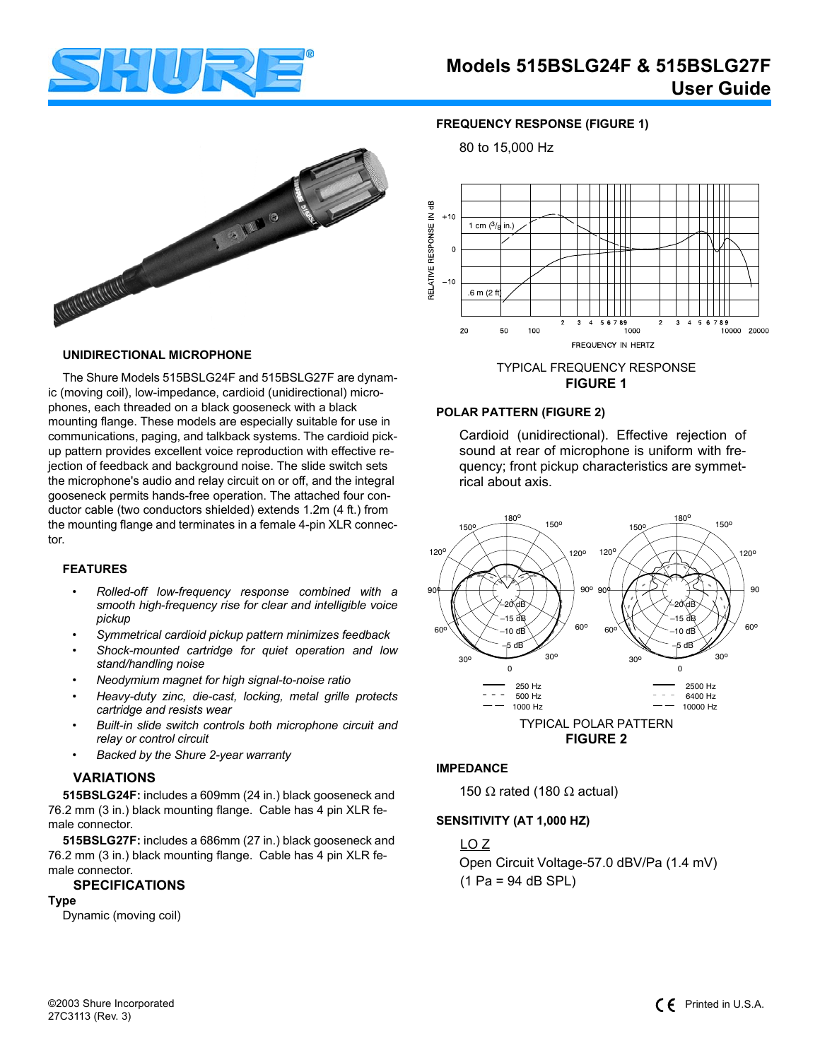

**FREQUENCY RESPONSE (FIGURE 1)**

80 to 15,000 Hz



### **UNIDIRECTIONAL MICROPHONE**

The Shure Models 515BSLG24F and 515BSLG27F are dynamic (moving coil), low-impedance, cardioid (unidirectional) microphones, each threaded on a black gooseneck with a black mounting flange. These models are especially suitable for use in communications, paging, and talkback systems. The cardioid pickup pattern provides excellent voice reproduction with effective rejection of feedback and background noise. The slide switch sets the microphone's audio and relay circuit on or off, and the integral gooseneck permits hands-free operation. The attached four conductor cable (two conductors shielded) extends 1.2m (4 ft.) from the mounting flange and terminates in a female 4-pin XLR connector.

#### **FEATURES**

- *Rolled-off low-frequency response combined with a smooth high-frequency rise for clear and intelligible voice pickup*
- *Symmetrical cardioid pickup pattern minimizes feedback*
- *Shock-mounted cartridge for quiet operation and low stand/handling noise*
- *Neodymium magnet for high signal-to-noise ratio*
- *Heavy-duty zinc, die-cast, locking, metal grille protects cartridge and resists wear*
- *Built-in slide switch controls both microphone circuit and relay or control circuit*
- *Backed by the Shure 2-year warranty*

#### **VARIATIONS**

**515BSLG24F:** includes a 609mm (24 in.) black gooseneck and 76.2 mm (3 in.) black mounting flange. Cable has 4 pin XLR female connector.

**515BSLG27F:** includes a 686mm (27 in.) black gooseneck and 76.2 mm (3 in.) black mounting flange. Cable has 4 pin XLR female connector.

# **SPECIFICATIONS**

**Type** Dynamic (moving coil)



# TYPICAL FREQUENCY RESPONSE **FIGURE 1**

# **POLAR PATTERN (FIGURE 2)**

Cardioid (unidirectional). Effective rejection of sound at rear of microphone is uniform with frequency; front pickup characteristics are symmetrical about axis.



#### **IMPEDANCE**

150  $\Omega$  rated (180  $\Omega$  actual)

#### **SENSITIVITY (AT 1,000 HZ)**

LO Z Open Circuit Voltage-57.0 dBV/Pa (1.4 mV) (1 Pa = 94 dB SPL)